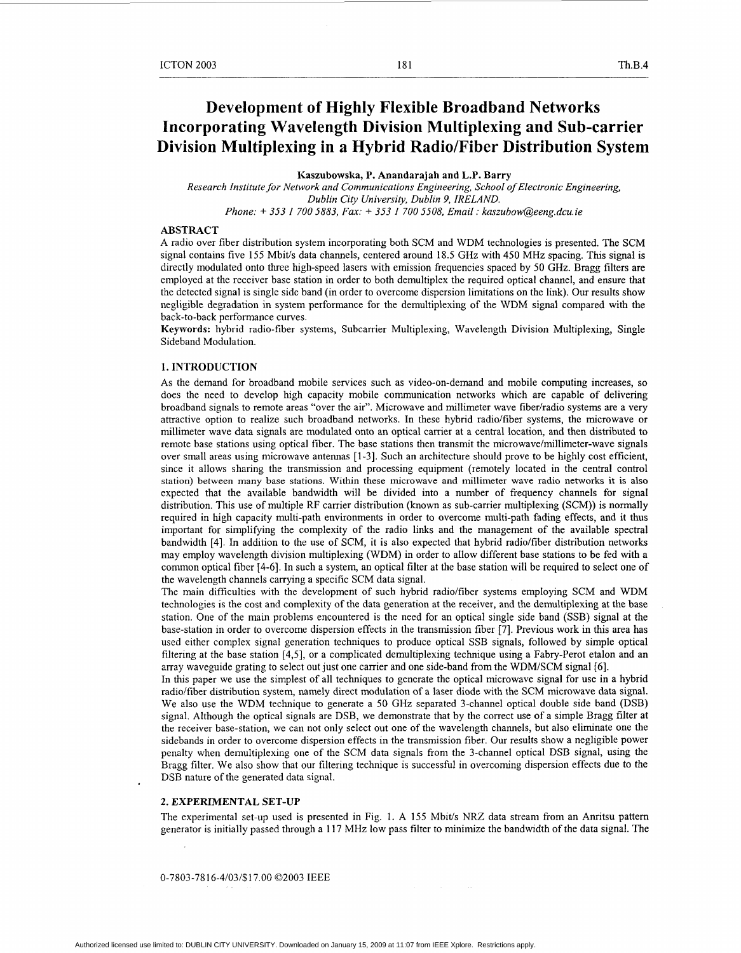# **Development of Highly Flexible Broadband Networks Incorporating Wavelength Division Multiplexing and Sub-carrier Division Multiplexing in a Hybrid Radio/Fiber Distribution System**

**Kaszubowska, P. Anandarajah and L.P. Barry** 

*Research Institute for Network and Communications Engineering, School of Electronic Engineering, Dublin City University, Dublin 9, IRELAND.* 

*Phone:* i- *353 1 700 5883, Fax:* i- *353 I 700 5508, Email* : *kaszubow@eeng.dcu.ie* 

# **ABSTRACT**

A radio over fiber distribution system incorporating both SCM and WDM technologies is presented. The SCM signal contains five 155 Mbit/s data channels, centered around 18.5 GHz with 450 MHz spacing. This signal is directly modulated onto three high-speed lasers with emission frequencies spaced by 50 **GHz.** Bragg filters are employed at the receiver base station in order to both demultiplex the required optical channel, and ensure that the detected signal is single side band (in order to overcome dispersion limitations on the link). Our results show negligible degradation in system performance for the demultiplexing of the WDM signal compared with the back-to-back performance curves.

**Keywords:** hybrid radio-fiber systems, Subcarrier Multiplexing, Wavelength Division Multiplexing, Single Sideband Modulation.

# **1. INTRODUCTION**

**As** the demand for broadband mobile services such as video-on-demand and mobile computing increases, so does the need to develop high capacity mobile communication networks which are capable of delivering broadband signals to remote areas "over the air". Microwave and millimeter wave fiberlradio systems are a very attractive option to realize such broadband networks. In these hybrid radio/fiber systems, the microwave or millimeter wave data signals are modulated onto an optical carrier at a central location, and then distributed to remote base stations using optical fiber. The base stations then transmit the microwave/millimeter-wave signals over small areas using microwave antennas [l-31. Such an architecture should prove to be highly cost efficient, since it allows sharing the transmission and processing equipment (remotely located in the central control station) between many base stations. Within these microwave and millimeter wave radio networks **it** is also expected that the available bandwidth will be divided into a number of frequency channels for signal distribution. This use of multiple RF carrier distribution (known as sub-carrier multiplexing (SCM)) is normally required in high capacity multi-path environments in order to overcome multi-path fading effects, and it thus important for simplifying the complexity of the radio links and the management of the available spectral bandwidth [4]. In addition to the use of SCM, it is also expected that hybrid radiolfiber distribution networks may employ wavelength division multiplexing (WDM) in order to allow different base stations to be fed with a common optical fiber [4-61. In such a system, an optical filter at the base station will be required to select one of the wavelength channels carrying a specific SCM data signal.

The main difficulties with the development of such hybrid radio/fiber systems employing SCM and WDM technologies is the cost and complexity of the data generation at the receiver, and the demultiplexing at the base station. One of the main problems encountered is the need for an optical single side band (SSB) signal at the base-station in order to overcome dispersion effects in the transmission fiber [7]. Previous work in this area has used either complex signal generation techniques to produce optical SSB signals, followed by simple optical filtering at the base station [4,5], or a complicated demultiplexing technique using a Fabry-Perot etalon and an array waveguide grating to select out just one carrier and one side-band from the WDM/SCM signal *[6].* 

In this paper we use the simplest of all techniques **to** generate the optical microwave signal for use in a hybrid radio/fiber distribution system, namely direct modulation of a laser diode with the SCM microwave data signal. We also use the WDM technique to generate a 50 GHz separated 3-channel optical double side band (DSB) signal. Although the optical signals are DSB, we demonstrate that by the correct use of a simple Bragg filter at the receiver base-station, we can not only select out one of the wavelength channels, but also eliminate one the sidebands in order to overcome dispersion effects in the transmission fiber. Our results show a negligible power penalty when demultiplexing one of the SCM data signals from the 3-channel optical DSB signal, using the Bragg filter. We also show that our filtering technique is successful in overcoming dispersion effects due to the DSB nature of the generated data signal.

#### **2. EXPERIMENTAL SET-UP**

The experimental set-up used is presented in [Fig. 1.](#page-1-0) A 155 Mbit/s *NRZ* data stream from an Anritsu pattern generator is initially passed through a 117 MHz low pass filter to minimize the bandwidth of the data signal. The

0-7803-78 16-4/03/\$17.00 02003 IEEE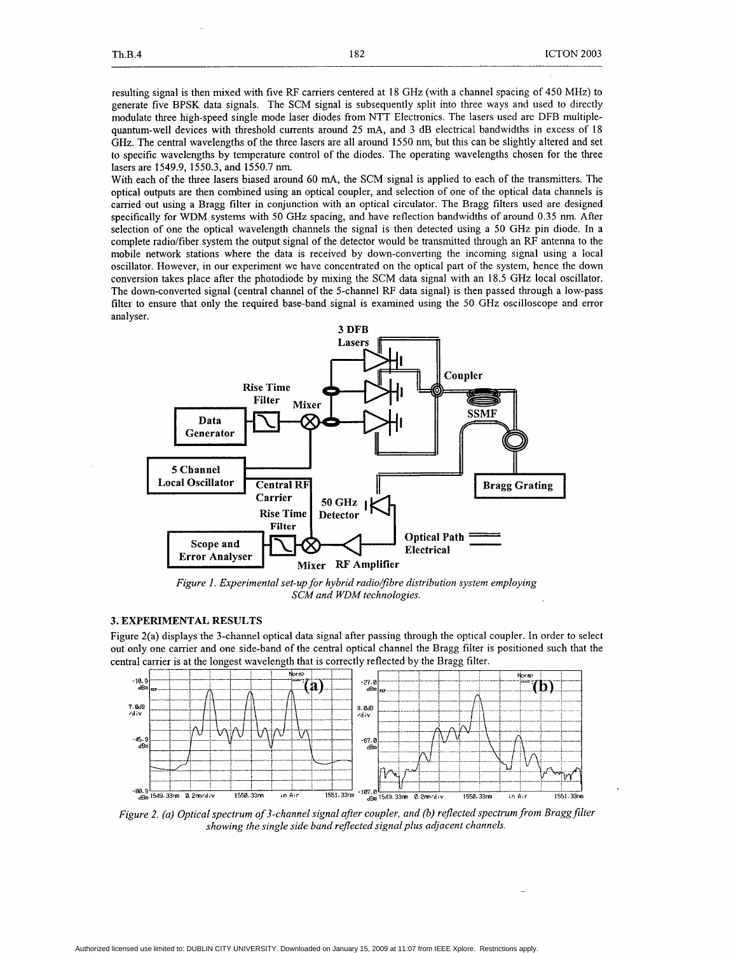<span id="page-1-0"></span>resulting signal is then mixed with five RF carriers centered at 18 GHz (with a channel spacing of 450 MHz) to generate five BPSK data signals. The SCM signal is subsequently split into three ways and used to directly modulate three high-speed single mode laser diodes from NTT Electronics. The lasers used are DFB multiplequantum-well devices with threshold currents around 25 mA, and 3 dB electrical bandwidths in excess of 18 GHz. The central wavelengths of the three lasers are all around 1550 nm, but this can be slightly altered and set **to** specific wavelengths by temperature control of the diodes. The operating wavelengths chosen for the three lasers are 1549.9, 1550.3, and 1550.7 nm.

With each of the three lasers biased around 60 mA, the SCM signal is applied to each of the transmitters. The optical outputs are then combined using an optical coupler, and selection of one of the optical data channels is carried out using a Bragg filter in conjunction with an optical circulator. The Bragg filters used are designed specifically for WDM systems with 50 GHz spacing, and have reflection bandwidths of around 0.35 nm. After selection of one the optical wavelength channels the signal is then detected using a *50* GHz pin diode. In a complete radio/fiber system the output signal of the detector would be transmitted through an RF antenna to the mobile network stations where the data is received by down-converting the incoming signal using a local oscillator. However, in our experiment we have concentrated on the optical part of the system, hence the down conversion takes place after the photodiode by mixing the SCM data signal with an 18.5 GHz local oscillator. The down-converted signal (central channel of the 5-channel RF data signal) is then passed through a low-pass filter to ensure that only the required base-band signal is examined using the 50 GHz oscilloscope and error analyser.



*Figure 1. Experimental set-up for hybrid radio/fibre distribution system employing SCM and WDM technologies.* 

# **3. EXPERIMENTAL RESULTS**

Figure 2(a) displays the 3-channel optical data signal after passing through the optical coupler. In order to select out only one carrier and one side-band of the central optical channel the Bragg filter is positioned such that the central carrier is at the longest wavelength that is correctly reflected by the Bragg filter.



*Figure 2. (a) Optical spectrum of 3-channel signal after coupler, and* (b) *rejected spectrum from Braggfilter showing the single side band rejected signal plus adjacent channels.*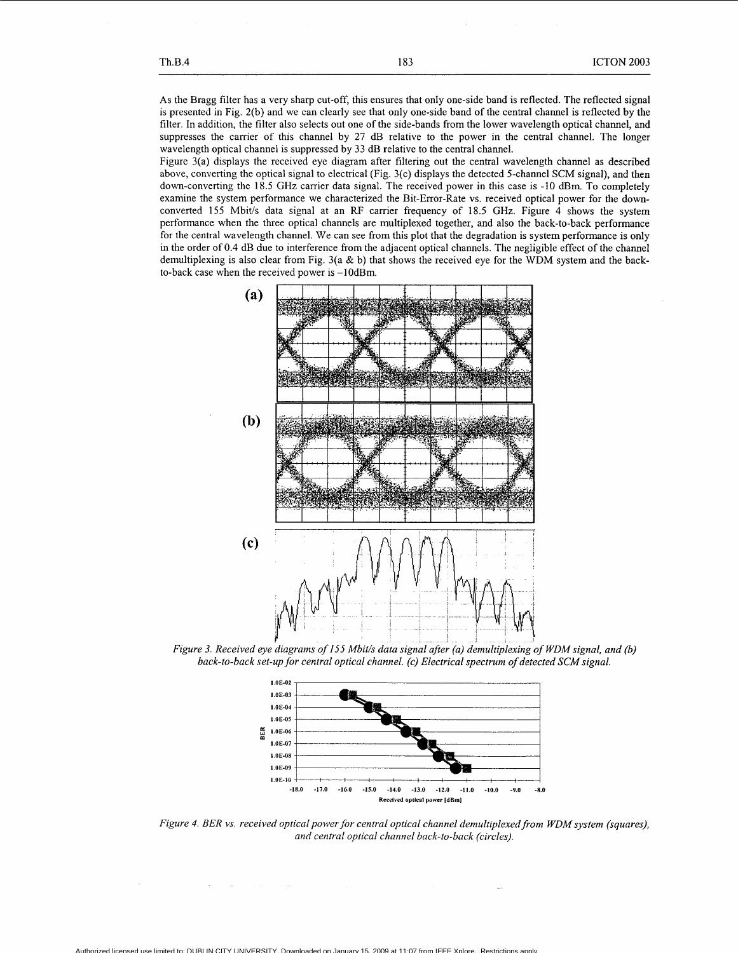<span id="page-2-0"></span>**As** the Bragg filter has a very sharp cut-off, this ensures that only one-side band is reflected. The reflected signal is presented in Fig. 2(b) and we can clearly see that only one-side band of the central channel is reflected by the filter. In addition, the filter also selects out one of the side-bands from the lower wavelength optical channel, and suppresses the carrier of this channel by 27 dB relative to the power in the central channel. The longer wavelength optical channel is suppressed by 33 dB relative to the central channel.

Figure 3(a) displays the received eye diagram after filtering out the central wavelength channel as described above, converting the optical signal to electrical (Fig. 3(c) displays the detected 5-channel SCM signal), and then down-converting the 18.5 GHz carrier data signal. The received power in this case is -10 dBm. To completely examine the system performance we characterized the Bit-Error-Rate vs. received optical power for the downconverted 155 Mbit/s data signal at an RF carrier frequency of 18.5 **GHz.** Figure 4 shows the system performance when the three optical channels are multiplexed together, and also the back-to-back performance for the central wavelength channel. We can see from this plot that the degradation is system performance is only in the order of 0.4 dB due to interference from the adjacent optical channels. The negligible effect of the channel demultiplexing is also clear from Fig.  $3(a \& b)$  that shows the received eye for the WDM system and the backto-back case when the received power is -1OdBm.



*Figure 3. Received eye diagrams of I55 Mbith data signal after (a) demultiplexing of WDMsignal. and* (b) back-to-back set-up for central optical channel. (c) Electrical spectrum of detected SCM signal.



*Figure 4. BER vs. received optical power for central optical channel demultiplexed from WDM system (squares), and central optical channel back-to-back (circles).*